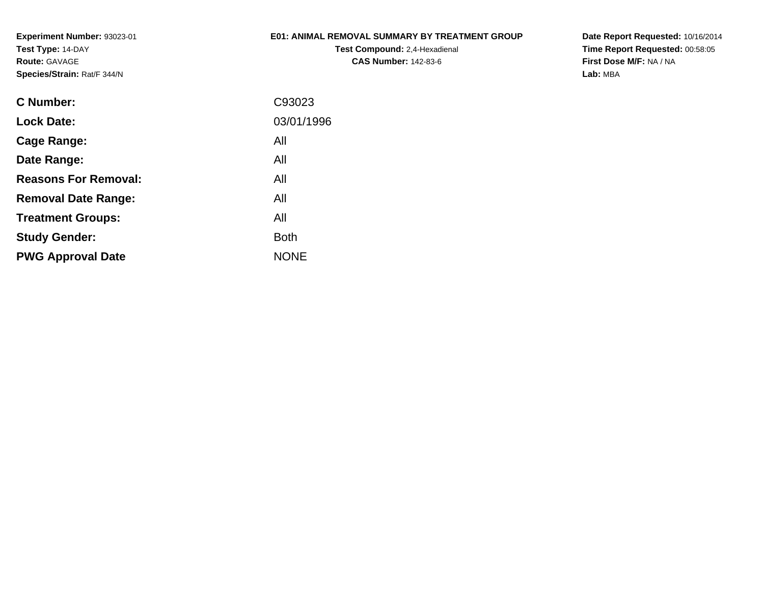### **E01: ANIMAL REMOVAL SUMMARY BY TREATMENT GROUP**

**Test Compound:** 2,4-Hexadienal **CAS Number:** 142-83-6

| C Number:                   | C93023      |
|-----------------------------|-------------|
| <b>Lock Date:</b>           | 03/01/1996  |
| Cage Range:                 | All         |
| Date Range:                 | All         |
| <b>Reasons For Removal:</b> | All         |
| <b>Removal Date Range:</b>  | All         |
| <b>Treatment Groups:</b>    | All         |
| <b>Study Gender:</b>        | Both        |
| <b>PWG Approval Date</b>    | <b>NONE</b> |
|                             |             |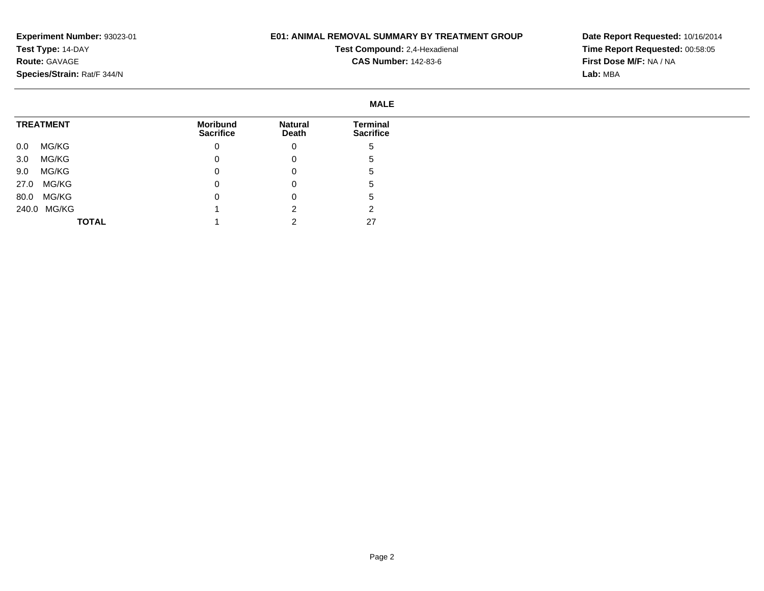## **E01: ANIMAL REMOVAL SUMMARY BY TREATMENT GROUP**

**Test Compound:** 2,4-Hexadienal **CAS Number:** 142-83-6

|                  | <b>MALE</b>                         |                         |                              |
|------------------|-------------------------------------|-------------------------|------------------------------|
| <b>TREATMENT</b> | <b>Moribund</b><br><b>Sacrifice</b> | <b>Natural</b><br>Death | Terminal<br><b>Sacrifice</b> |
| MG/KG<br>$0.0\,$ | 0                                   | 0                       | <sub>5</sub>                 |
| MG/KG<br>3.0     | 0                                   | 0                       | .5                           |
| MG/KG<br>9.0     | 0                                   | 0                       | .5                           |
| MG/KG<br>27.0    | 0                                   | 0                       | G                            |
| 80.0 MG/KG       | $\mathbf 0$                         | 0                       | .5                           |
| 240.0 MG/KG      |                                     | ົ                       | ◠                            |
| <b>TOTAL</b>     |                                     |                         | 27                           |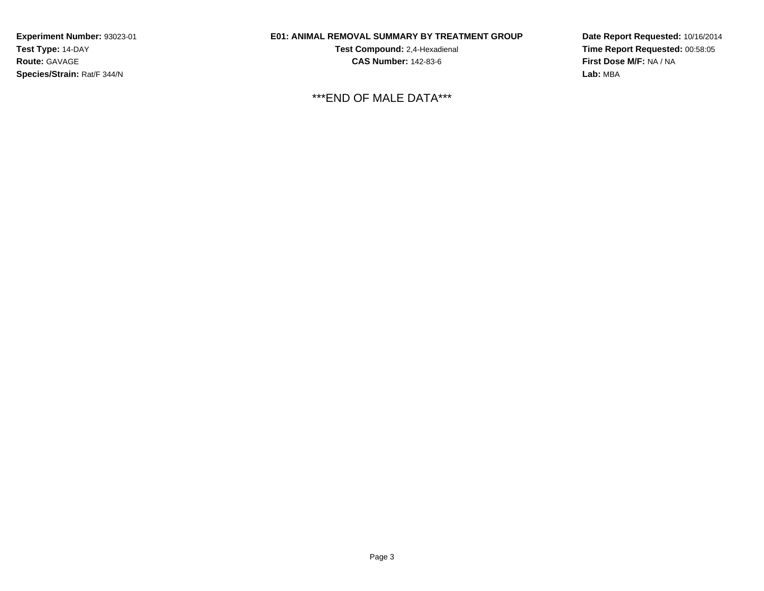## **E01: ANIMAL REMOVAL SUMMARY BY TREATMENT GROUP**

**Test Compound:** 2,4-Hexadienal **CAS Number:** 142-83-6

\*\*\*END OF MALE DATA\*\*\*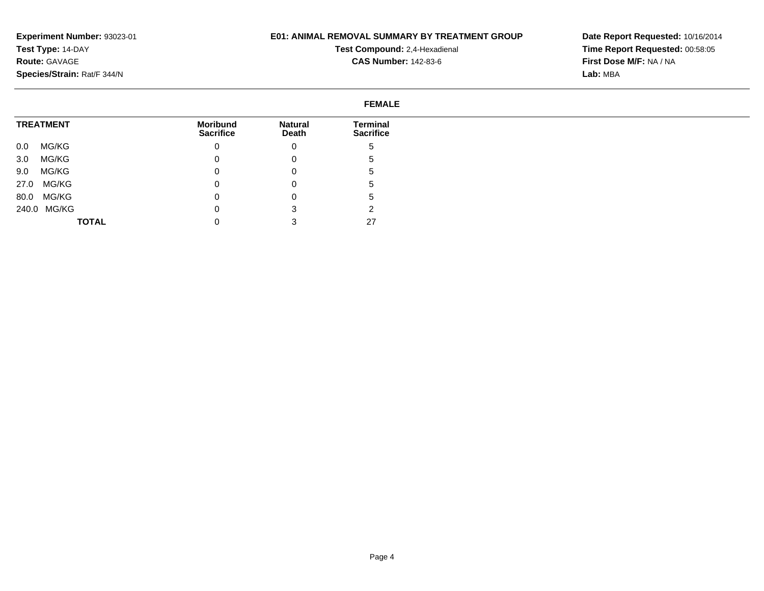## **E01: ANIMAL REMOVAL SUMMARY BY TREATMENT GROUP**

**Test Compound:** 2,4-Hexadienal **CAS Number:** 142-83-6

| <b>FEMALE</b>    |                                     |                         |                              |  |
|------------------|-------------------------------------|-------------------------|------------------------------|--|
| <b>TREATMENT</b> | <b>Moribund</b><br><b>Sacrifice</b> | <b>Natural</b><br>Death | Terminal<br><b>Sacrifice</b> |  |
| MG/KG<br>0.0     | $\mathbf{0}$                        | 0                       | .5                           |  |
| MG/KG<br>3.0     | $\mathbf 0$                         | 0                       | đ                            |  |
| MG/KG<br>9.0     | $\mathbf{0}$                        | 0                       | .5                           |  |
| MG/KG<br>27.0    | $\mathbf 0$                         | 0                       | ు                            |  |
| MG/KG<br>80.0    | $\mathbf 0$                         | 0                       | .5                           |  |
| 240.0 MG/KG      | 0                                   | 3                       | ◠                            |  |
| <b>TOTAL</b>     |                                     |                         | 27                           |  |